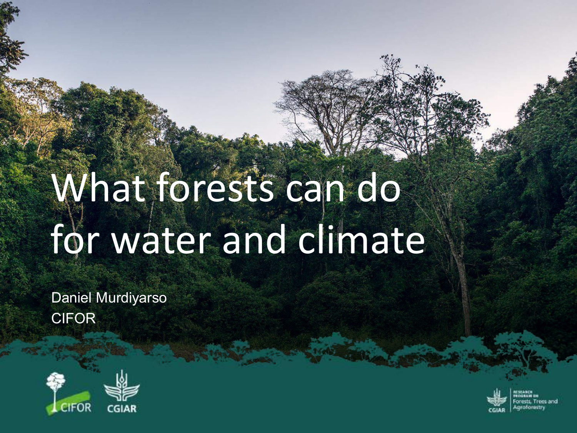# What forests can do for water and climate

Daniel Murdiyarso CIFOR



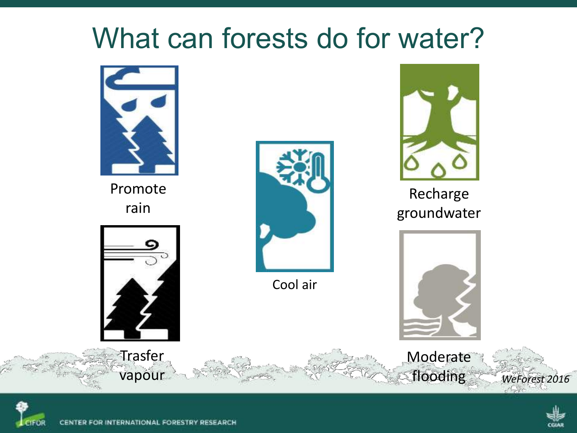#### What can forests do for water?





Recharge groundwater



**Moderate** 

flooding *WeForest 2016* 



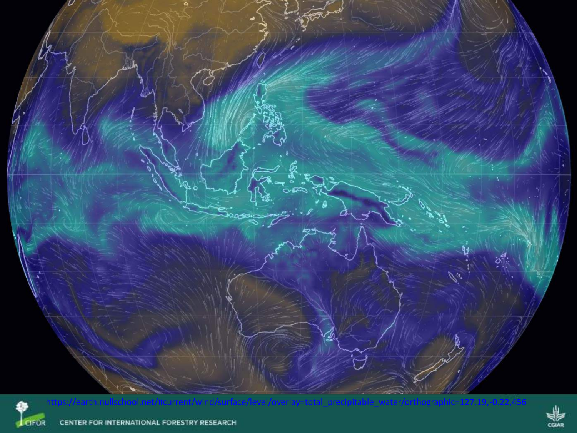



[https://earth.nullschool.net/#current/wind/surface/level/overlay=total\\_precipitable\\_water/orthographic=127.19,-0.22,456](https://earth.nullschool.net/current/wind/surface/level/overlay=total_precipitable_water/orthographic=127.19,-0.22,456)

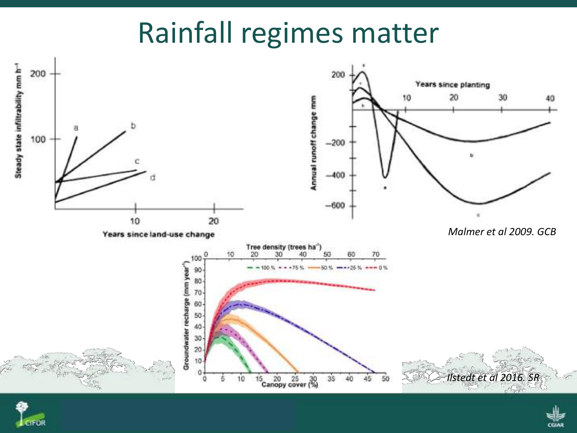## Rainfall regimes matter





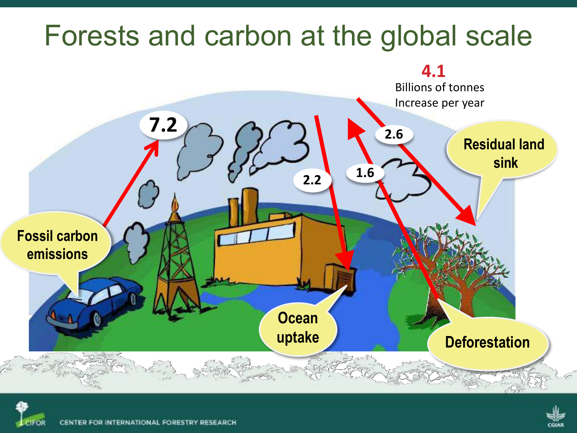#### Forests and carbon at the global scale



![](_page_4_Picture_2.jpeg)

![](_page_4_Picture_3.jpeg)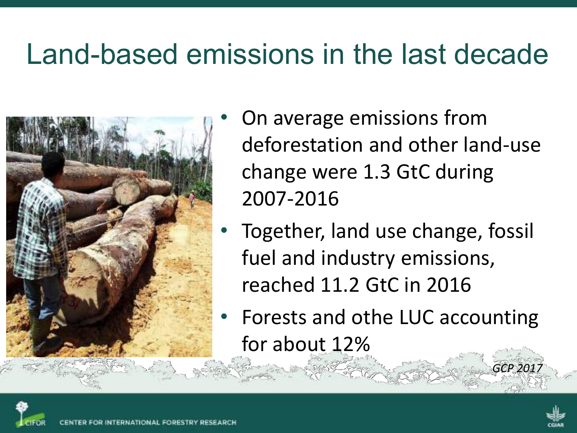## Land-based emissions in the last decade

![](_page_5_Picture_1.jpeg)

- On average emissions from deforestation and other land-use change were 1.3 GtC during 2007-2016
- Together, land use change, fossil fuel and industry emissions, reached 11.2 GtC in 2016
- Forests and othe LUC accounting for about 12%

*GCP* 201

![](_page_5_Picture_5.jpeg)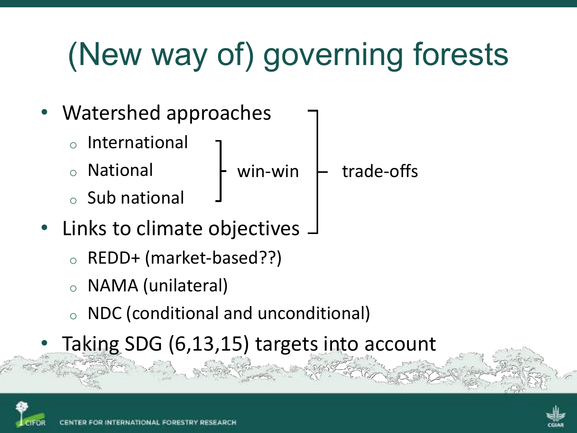# (New way of) governing forests

- Watershed approaches
	- <sup>o</sup> International
	- <sup>o</sup> National
- win-win  $\vdash$  trade-offs
- $\circ$  Sub national
- Links to climate objectives  $\Box$ 
	- <sup>o</sup> REDD+ (market-based??)
	- NAMA (unilateral)
	- <sup>o</sup> NDC (conditional and unconditional)
	- Taking SDG (6,13,15) targets into account

![](_page_6_Picture_11.jpeg)

![](_page_6_Picture_12.jpeg)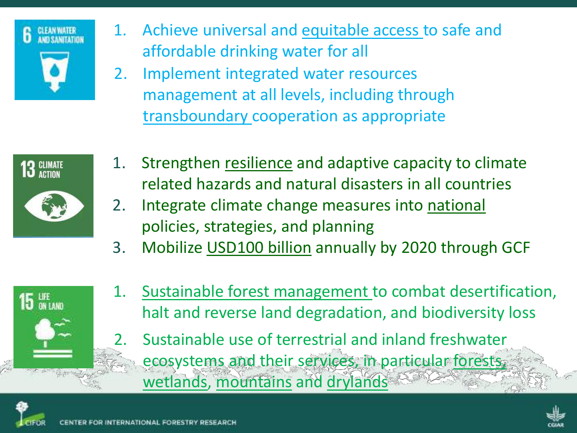![](_page_7_Picture_0.jpeg)

- 1. Achieve universal and equitable access to safe and affordable drinking water for all
- 2. Implement integrated water resources management at all levels, including through transboundary cooperation as appropriate

![](_page_7_Picture_3.jpeg)

- 1. Strengthen resilience and adaptive capacity to climate related hazards and natural disasters in all countries
- 2. Integrate climate change measures into national policies, strategies, and planning
- 3. Mobilize USD100 billion annually by 2020 through GCF

![](_page_7_Picture_7.jpeg)

1. Sustainable forest management to combat desertification, halt and reverse land degradation, and biodiversity loss

Sustainable use of terrestrial and inland freshwater ecosystems and their services, in particular forests, wetlands, mountains and drylands

![](_page_7_Picture_10.jpeg)